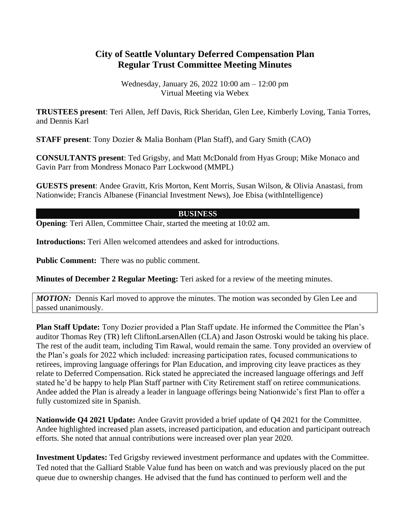## **City of Seattle Voluntary Deferred Compensation Plan Regular Trust Committee Meeting Minutes**

Wednesday, January 26, 2022 10:00 am – 12:00 pm Virtual Meeting via Webex

**TRUSTEES present**: Teri Allen, Jeff Davis, Rick Sheridan, Glen Lee, Kimberly Loving, Tania Torres, and Dennis Karl

**STAFF present**: Tony Dozier & Malia Bonham (Plan Staff), and Gary Smith (CAO)

**CONSULTANTS present**: Ted Grigsby, and Matt McDonald from Hyas Group; Mike Monaco and Gavin Parr from Mondress Monaco Parr Lockwood (MMPL)

**GUESTS present**: Andee Gravitt, Kris Morton, Kent Morris, Susan Wilson, & Olivia Anastasi, from Nationwide; Francis Albanese (Financial Investment News), Joe Ebisa (withIntelligence)

## **BUSINESS**

**Opening**: Teri Allen, Committee Chair, started the meeting at 10:02 am.

**Introductions:** Teri Allen welcomed attendees and asked for introductions.

**Public Comment:** There was no public comment.

**Minutes of December 2 Regular Meeting:** Teri asked for a review of the meeting minutes.

*MOTION:* Dennis Karl moved to approve the minutes. The motion was seconded by Glen Lee and passed unanimously.

**Plan Staff Update:** Tony Dozier provided a Plan Staff update. He informed the Committee the Plan's auditor Thomas Rey (TR) left CliftonLarsenAllen (CLA) and Jason Ostroski would be taking his place. The rest of the audit team, including Tim Rawal, would remain the same. Tony provided an overview of the Plan's goals for 2022 which included: increasing participation rates, focused communications to retirees, improving language offerings for Plan Education, and improving city leave practices as they relate to Deferred Compensation. Rick stated he appreciated the increased language offerings and Jeff stated he'd be happy to help Plan Staff partner with City Retirement staff on retiree communications. Andee added the Plan is already a leader in language offerings being Nationwide's first Plan to offer a fully customized site in Spanish.

**Nationwide Q4 2021 Update:** Andee Gravitt provided a brief update of Q4 2021 for the Committee. Andee highlighted increased plan assets, increased participation, and education and participant outreach efforts. She noted that annual contributions were increased over plan year 2020.

**Investment Updates:** Ted Grigsby reviewed investment performance and updates with the Committee. Ted noted that the Galliard Stable Value fund has been on watch and was previously placed on the put queue due to ownership changes. He advised that the fund has continued to perform well and the